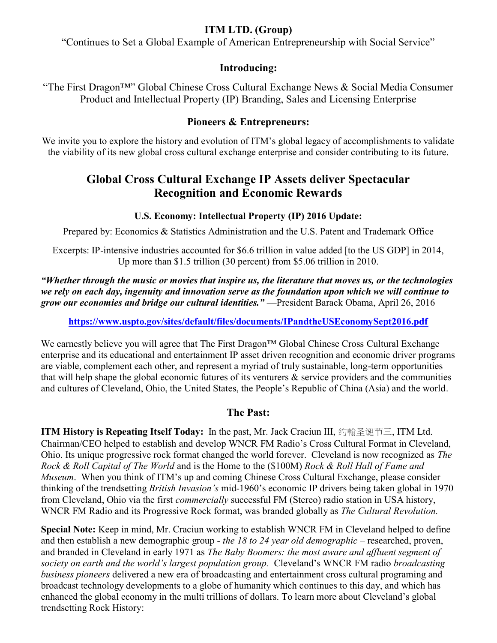## **ITM LTD. (Group)**

"Continues to Set a Global Example of American Entrepreneurship with Social Service"

### **Introducing:**

―The First Dragon™‖ Global Chinese Cross Cultural Exchange News & Social Media Consumer Product and Intellectual Property (IP) Branding, Sales and Licensing Enterprise

## **Pioneers & Entrepreneurs:**

We invite you to explore the history and evolution of ITM's global legacy of accomplishments to validate the viability of its new global cross cultural exchange enterprise and consider contributing to its future.

# **Global Cross Cultural Exchange IP Assets deliver Spectacular Recognition and Economic Rewards**

#### **U.S. Economy: Intellectual Property (IP) 2016 Update:**

Prepared by: Economics & Statistics Administration and the U.S. Patent and Trademark Office

Excerpts: IP-intensive industries accounted for \$6.6 trillion in value added [to the US GDP] in 2014, Up more than \$1.5 trillion (30 percent) from \$5.06 trillion in 2010.

*"Whether through the music or movies that inspire us, the literature that moves us, or the technologies we rely on each day, ingenuity and innovation serve as the foundation upon which we will continue to grow our economies and bridge our cultural identities."* —President Barack Obama, April 26, 2016

**<https://www.uspto.gov/sites/default/files/documents/IPandtheUSEconomySept2016.pdf>**

We earnestly believe you will agree that The First Dragon™ Global Chinese Cross Cultural Exchange enterprise and its educational and entertainment IP asset driven recognition and economic driver programs are viable, complement each other, and represent a myriad of truly sustainable, long-term opportunities that will help shape the global economic futures of its venturers  $\&$  service providers and the communities and cultures of Cleveland, Ohio, the United States, the People's Republic of China (Asia) and the world.

### **The Past:**

**ITM History is Repeating Itself Today:** In the past, Mr. Jack Craciun III, 约翰圣诞节三, ITM Ltd. Chairman/CEO helped to establish and develop WNCR FM Radio's Cross Cultural Format in Cleveland, Ohio. Its unique progressive rock format changed the world forever. Cleveland is now recognized as *The Rock & Roll Capital of The World* and is the Home to the (\$100M) *Rock & Roll Hall of Fame and Museum*. When you think of ITM's up and coming Chinese Cross Cultural Exchange, please consider thinking of the trendsetting *British Invasion's* mid-1960's economic IP drivers being taken global in 1970 from Cleveland, Ohio via the first *commercially* successful FM (Stereo) radio station in USA history, WNCR FM Radio and its Progressive Rock format, was branded globally as *The Cultural Revolution.*

**Special Note:** Keep in mind, Mr. Craciun working to establish WNCR FM in Cleveland helped to define and then establish a new demographic group *- the 18 to 24 year old demographic –* researched, proven, and branded in Cleveland in early 1971 as *The Baby Boomers: the most aware and affluent segment of society on earth and the world's largest population group.* Cleveland's WNCR FM radio *broadcasting business pioneers* delivered a new era of broadcasting and entertainment cross cultural programing and broadcast technology developments to a globe of humanity which continues to this day, and which has enhanced the global economy in the multi trillions of dollars. To learn more about Cleveland's global trendsetting Rock History: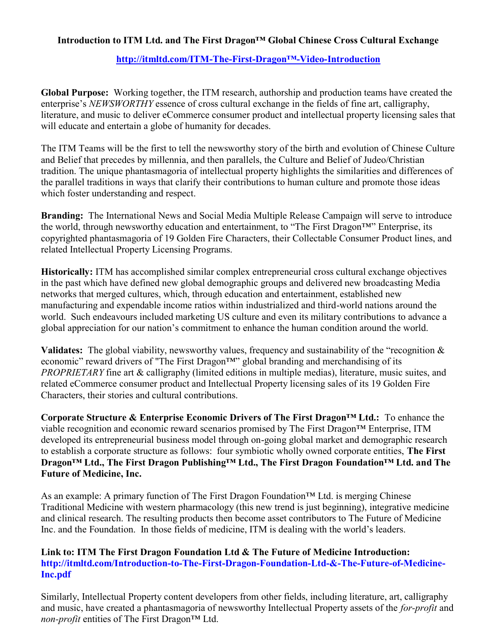#### **Introduction to ITM Ltd. and The First Dragon™ Global Chinese Cross Cultural Exchange**

#### **[http://itmltd.com/ITM-The-First-](https://www.youtube.com/watch?v=n2ytKABEXnE&feature=youtu.be)Dragon™-Video-Introduction**

**Global Purpose:** Working together, the ITM research, authorship and production teams have created the enterprise's *NEWSWORTHY* essence of cross cultural exchange in the fields of fine art, calligraphy, literature, and music to deliver eCommerce consumer product and intellectual property licensing sales that will educate and entertain a globe of humanity for decades.

The ITM Teams will be the first to tell the newsworthy story of the birth and evolution of Chinese Culture and Belief that precedes by millennia, and then parallels, the Culture and Belief of Judeo/Christian tradition. The unique phantasmagoria of intellectual property highlights the similarities and differences of the parallel traditions in ways that clarify their contributions to human culture and promote those ideas which foster understanding and respect.

**Branding:** The International News and Social Media Multiple Release Campaign will serve to introduce the world, through newsworthy education and entertainment, to "The First Dragon™" Enterprise, its copyrighted phantasmagoria of 19 Golden Fire Characters, their Collectable Consumer Product lines, and related Intellectual Property Licensing Programs.

**Historically:** ITM has accomplished similar complex entrepreneurial cross cultural exchange objectives in the past which have defined new global demographic groups and delivered new broadcasting Media networks that merged cultures, which, through education and entertainment, established new manufacturing and expendable income ratios within industrialized and third-world nations around the world. Such endeavours included marketing US culture and even its military contributions to advance a global appreciation for our nation's commitment to enhance the human condition around the world.

**Validates:** The global viability, newsworthy values, frequency and sustainability of the "recognition  $\&$ economic" reward drivers of "The First Dragon™" global branding and merchandising of its *PROPRIETARY* fine art & calligraphy (limited editions in multiple medias), literature, music suites, and related eCommerce consumer product and Intellectual Property licensing sales of its 19 Golden Fire Characters, their stories and cultural contributions.

**Corporate Structure & Enterprise Economic Drivers of The First Dragon™ Ltd.:** To enhance the viable recognition and economic reward scenarios promised by The First Dragon™ Enterprise, ITM developed its entrepreneurial business model through on-going global market and demographic research to establish a corporate structure as follows: four symbiotic wholly owned corporate entities, **The First Dragon™ Ltd., The First Dragon Publishing™ Ltd., The First Dragon Foundation™ Ltd. and The Future of Medicine, Inc.**

As an example: A primary function of The First Dragon Foundation™ Ltd. is merging Chinese Traditional Medicine with western pharmacology (this new trend is just beginning), integrative medicine and clinical research. The resulting products then become asset contributors to The Future of Medicine Inc. and the Foundation. In those fields of medicine, ITM is dealing with the world's leaders.

#### **Link to: ITM The First Dragon Foundation Ltd & The Future of Medicine Introduction: [http://itmltd.com/Introduction-to-The-First-Dragon-Foundation-Ltd-&-The-Future-of-Medicine-](http://itmltd.com/Introduction-to-The-First-Dragon-Foundation-Ltd-&-The-Future-of-Medicine-Inc.pdf)[Inc.pdf](http://itmltd.com/Introduction-to-The-First-Dragon-Foundation-Ltd-&-The-Future-of-Medicine-Inc.pdf)**

Similarly, Intellectual Property content developers from other fields, including literature, art, calligraphy and music, have created a phantasmagoria of newsworthy Intellectual Property assets of the *for-profit* and *non-profit* entities of The First Dragon™ Ltd.